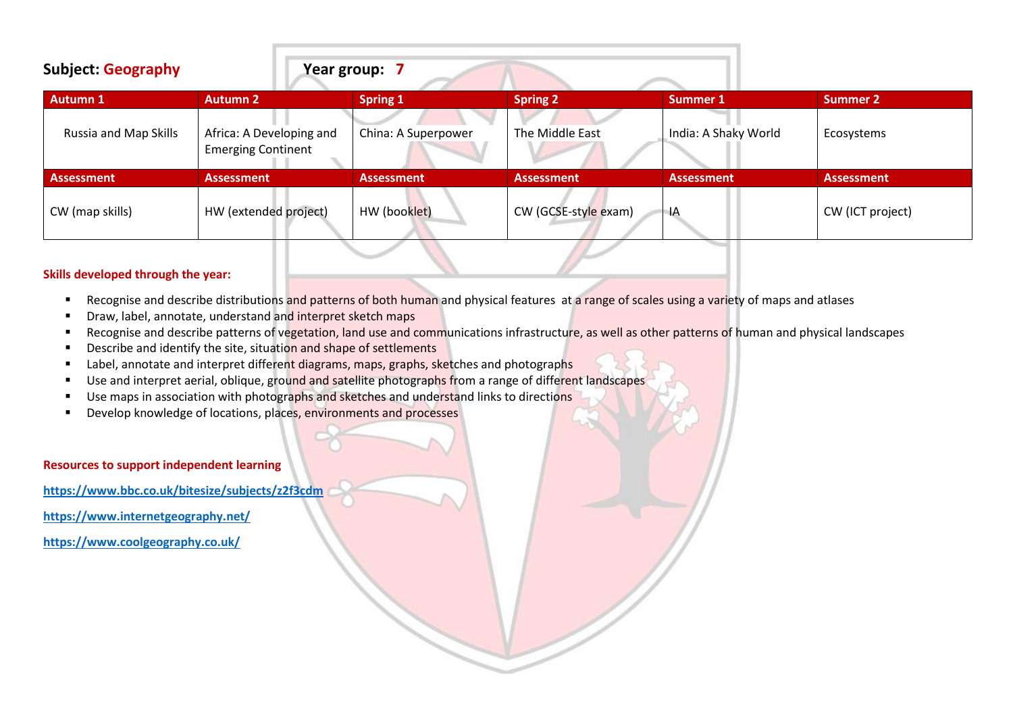| <b>Subject: Geography</b> |                                                       | Year group: 7       |                      |                      |                   |
|---------------------------|-------------------------------------------------------|---------------------|----------------------|----------------------|-------------------|
| <b>Autumn 1</b>           | <b>Autumn 2</b>                                       | <b>Spring 1</b>     | <b>Spring 2</b>      | Summer 1             | <b>Summer 2</b>   |
| Russia and Map Skills     | Africa: A Developing and<br><b>Emerging Continent</b> | China: A Superpower | The Middle East      | India: A Shaky World | Ecosystems        |
| <b>Assessment</b>         | <b>Assessment</b>                                     | <b>Assessment</b>   | <b>Assessment</b>    | <b>Assessment</b>    | <b>Assessment</b> |
| CW (map skills)           | HW (extended project)                                 | HW (booklet)        | CW (GCSE-style exam) | ΙA                   | CW (ICT project)  |

### **Skills developed through the year:**

- Recognise and describe distributions and patterns of both human and physical features at a range of scales using a variety of maps and atlases
- Draw, label, annotate, understand and interpret sketch maps
- Recognise and describe patterns of vegetation, land use and communications infrastructure, as well as other patterns of human and physical landscapes
- **E** Describe and identify the site, situation and shape of settlements
- Label, annotate and interpret different diagrams, maps, graphs, sketches and photographs
- Use and interpret aerial, oblique, ground and satellite photographs from a range of different landscapes
- Use maps in association with photographs and sketches and understand links to directions
- Develop knowledge of locations, places, environments and processes

**Resources to support independent learning** 

**<https://www.bbc.co.uk/bitesize/subjects/z2f3cdm>**

**<https://www.internetgeography.net/>**

**<https://www.coolgeography.co.uk/>**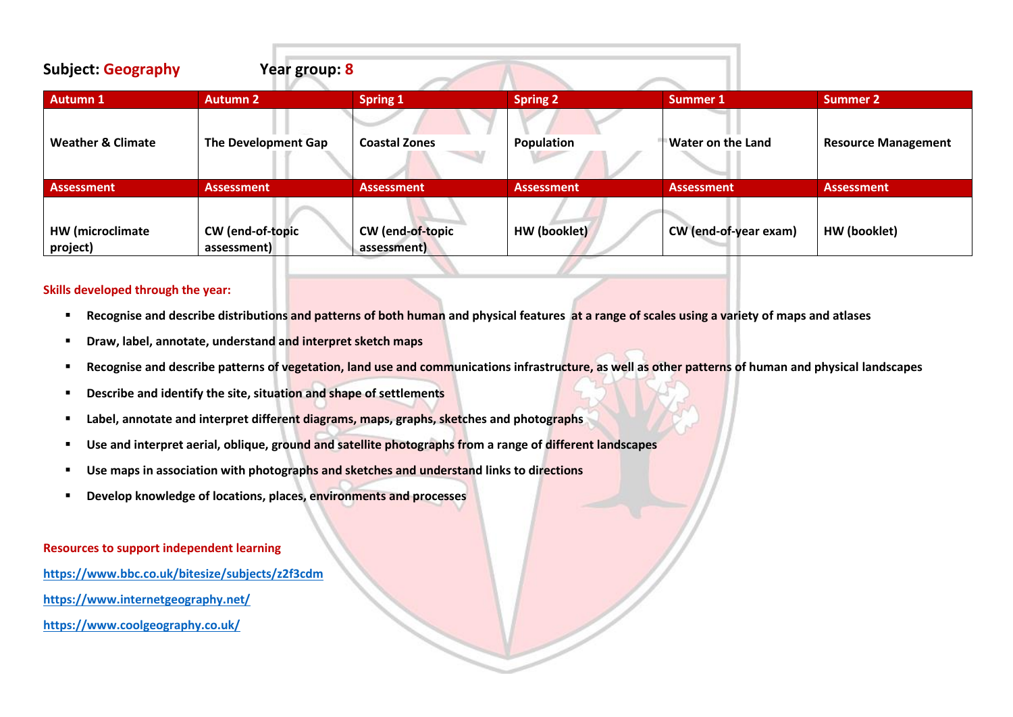| <b>Subject: Geography</b>    | Year group: 8                   |                                 |                   |                       |                            |
|------------------------------|---------------------------------|---------------------------------|-------------------|-----------------------|----------------------------|
| Autumn 1                     | <b>Autumn 2</b>                 | <b>Spring 1</b>                 | <b>Spring 2</b>   | Summer 1              | Summer 2                   |
| <b>Weather &amp; Climate</b> | The Development Gap             | <b>Coastal Zones</b>            | Population        | Water on the Land     | <b>Resource Management</b> |
| <b>Assessment</b>            | <b>Assessment</b>               | <b>Assessment</b>               | <b>Assessment</b> | <b>Assessment</b>     | <b>Assessment</b>          |
| HW (microclimate<br>project) | CW (end-of-topic<br>assessment) | CW (end-of-topic<br>assessment) | HW (booklet)      | CW (end-of-year exam) | HW (booklet)               |

### **Skills developed through the year:**

- Recognise and describe distributions and patterns of both human and physical features at a range of scales using a variety of maps and atlases
- **Draw, label, annotate, understand and interpret sketch maps**
- Recognise and describe patterns of vegetation, land use and communications infrastructure, as well as other patterns of human and physical landscapes
- **Describe and identify the site, situation and shape of settlements**
- Label, annotate and interpret different diagrams, maps, graphs, sketches and photographs
- Use and interpret aerial, oblique, ground and satellite photographs from a range of different landscapes
- Use maps in association with photographs and sketches and understand links to directions
- **Develop knowledge of locations, places, environments and processes**

#### **Resources to support independent learning**

- **<https://www.bbc.co.uk/bitesize/subjects/z2f3cdm>**
- **<https://www.internetgeography.net/>**
- **<https://www.coolgeography.co.uk/>**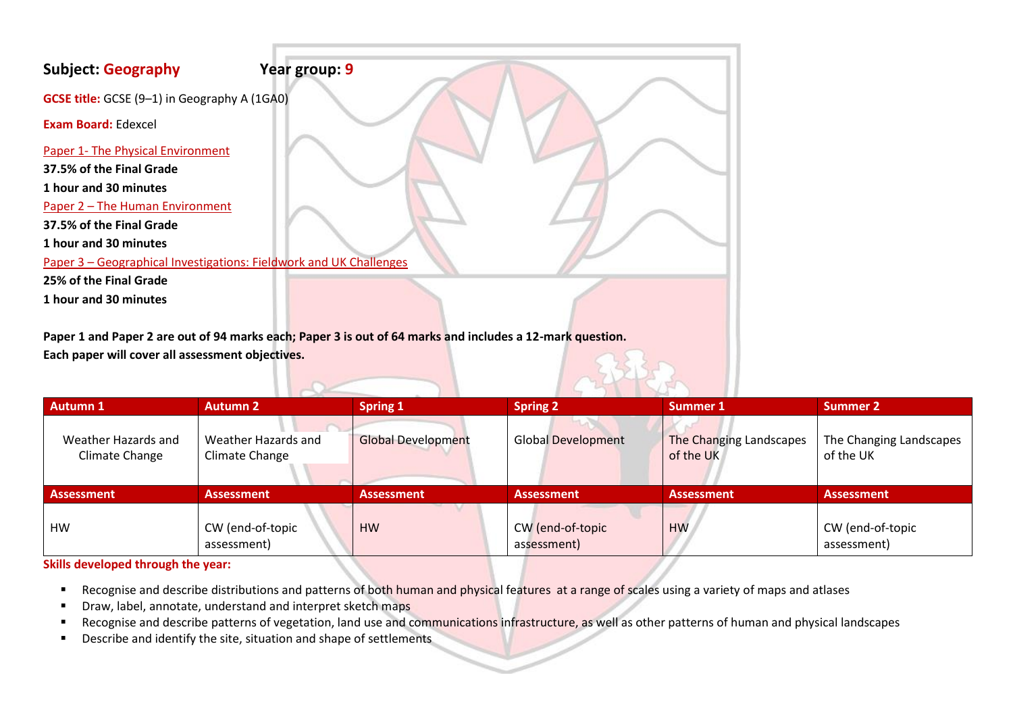| <b>Subject: Geography</b>                                          | Year group: 9 |  |
|--------------------------------------------------------------------|---------------|--|
| <b>GCSE title:</b> GCSE (9-1) in Geography A (1GA0)                |               |  |
| <b>Exam Board: Edexcel</b>                                         |               |  |
| Paper 1- The Physical Environment                                  |               |  |
| 37.5% of the Final Grade                                           |               |  |
| 1 hour and 30 minutes                                              |               |  |
| Paper 2 - The Human Environment                                    |               |  |
| 37.5% of the Final Grade                                           |               |  |
| 1 hour and 30 minutes                                              |               |  |
| Paper 3 - Geographical Investigations: Fieldwork and UK Challenges |               |  |
| 25% of the Final Grade                                             |               |  |
| 1 hour and 30 minutes                                              |               |  |
|                                                                    |               |  |

**Paper 1 and Paper 2 are out of 94 marks each; Paper 3 is out of 64 marks and includes a 12-mark question. Each paper will cover all assessment objectives.**

| <b>Autumn 1</b>                       | <b>Autumn 2</b>                       | <b>Spring 1</b>           | <b>Spring 2</b>                 | <b>Summer 1</b>                      | <b>Summer 2</b>                      |
|---------------------------------------|---------------------------------------|---------------------------|---------------------------------|--------------------------------------|--------------------------------------|
| Weather Hazards and<br>Climate Change | Weather Hazards and<br>Climate Change | <b>Global Development</b> | <b>Global Development</b>       | The Changing Landscapes<br>of the UK | The Changing Landscapes<br>of the UK |
| <b>Assessment</b>                     | <b>Assessment</b>                     | <b>Assessment</b>         | <b>Assessment</b>               | <b>Assessment</b>                    | <b>Assessment</b>                    |
| <b>HW</b>                             | CW (end-of-topic<br>assessment)       | <b>HW</b>                 | CW (end-of-topic<br>assessment) | <b>HW</b>                            | CW (end-of-topic<br>assessment)      |

# **Skills developed through the year:**

- Recognise and describe distributions and patterns of both human and physical features at a range of scales using a variety of maps and atlases
- **■** Draw, label, annotate, understand and interpret sketch maps
- Recognise and describe patterns of vegetation, land use and communications infrastructure, as well as other patterns of human and physical landscapes
- Describe and identify the site, situation and shape of settlements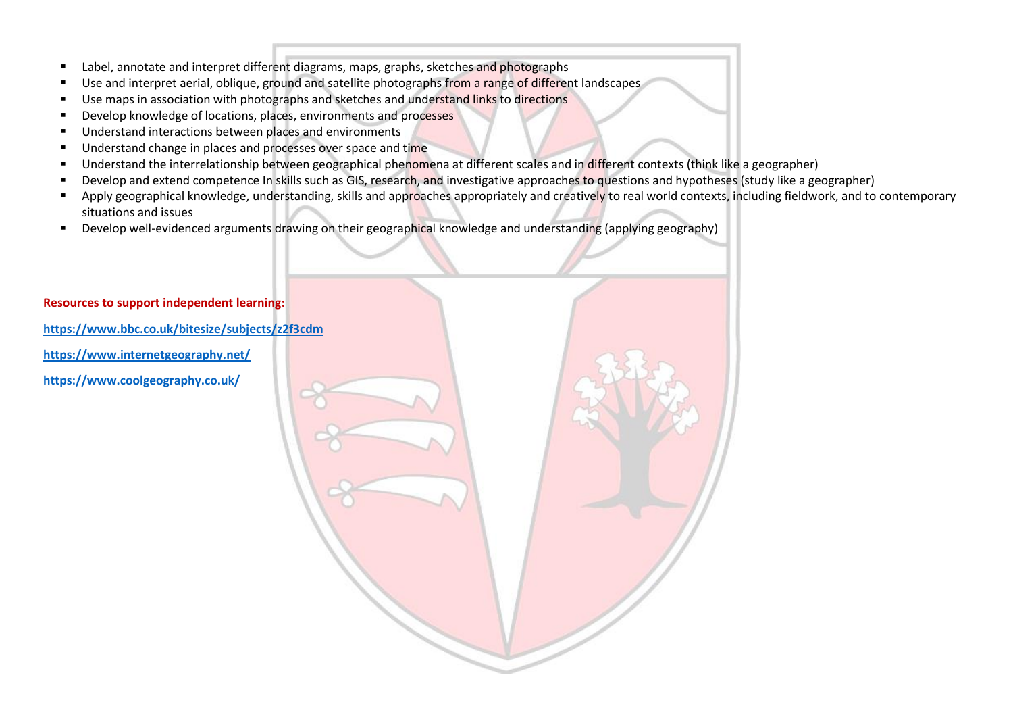- Label, annotate and interpret different diagrams, maps, graphs, sketches and photographs
- Use and interpret aerial, oblique, ground and satellite photographs from a range of different landscapes
- **■** Use maps in association with photographs and sketches and understand links to directions
- Develop knowledge of locations, places, environments and processes
- Understand interactions between places and environments
- Understand change in places and processes over space and time
- Understand the interrelationship between geographical phenomena at different scales and in different contexts (think like a geographer)
- Develop and extend competence In skills such as GIS, research, and investigative approaches to questions and hypotheses (study like a geographer)
- Apply geographical knowledge, understanding, skills and approaches appropriately and creatively to real world contexts, including fieldwork, and to contemporary situations and issues
- Develop well-evidenced arguments drawing on their geographical knowledge and understanding (applying geography)

# **Resources to support independent learning:**

**<https://www.bbc.co.uk/bitesize/subjects/z2f3cdm>**

**<https://www.internetgeography.net/>**

**<https://www.coolgeography.co.uk/>**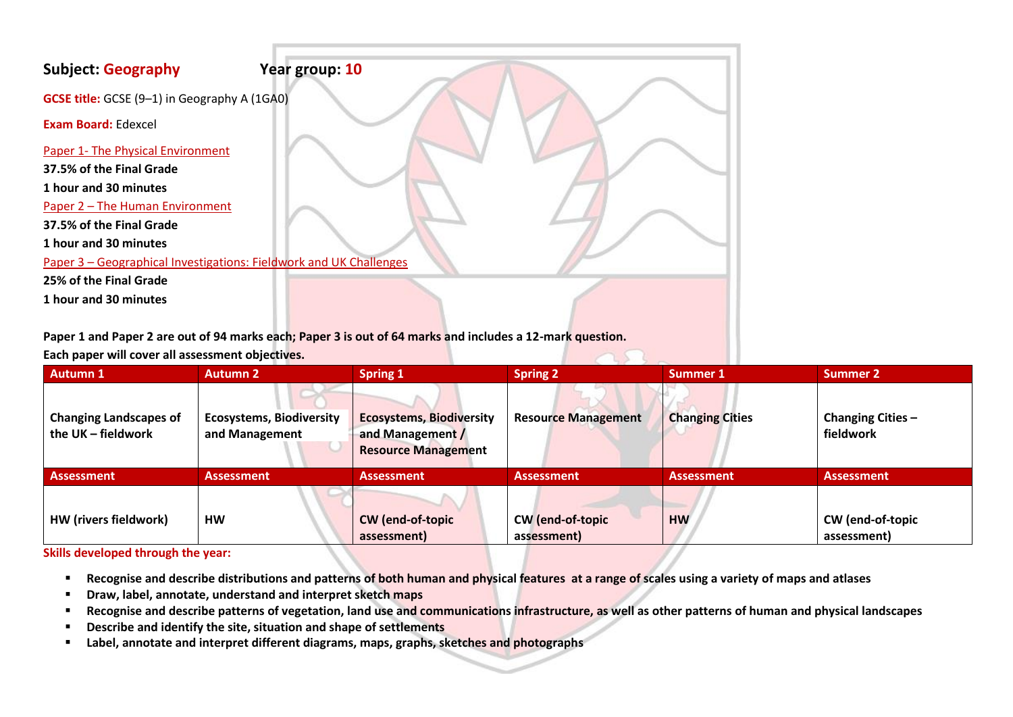| <b>Subject: Geography</b>                                          | Year group: 10 |
|--------------------------------------------------------------------|----------------|
| GCSE title: GCSE (9-1) in Geography A (1GA0)                       |                |
| <b>Exam Board: Edexcel</b>                                         |                |
| Paper 1- The Physical Environment                                  |                |
| 37.5% of the Final Grade                                           |                |
| 1 hour and 30 minutes                                              |                |
| Paper 2 - The Human Environment                                    |                |
| 37.5% of the Final Grade                                           |                |
| 1 hour and 30 minutes                                              |                |
| Paper 3 - Geographical Investigations: Fieldwork and UK Challenges |                |
| 25% of the Final Grade                                             |                |
| 1 hour and 30 minutes                                              |                |
|                                                                    |                |

**Paper 1 and Paper 2 are out of 94 marks each; Paper 3 is out of 64 marks and includes a 12-mark question.**

**Each paper will cover all assessment objectives.**

| <b>Autumn 1</b>                                     | <b>Autumn 2</b>                                   | <b>Spring 1</b>                                                                   | <b>Spring 2</b>                        | <b>Summer 1</b>        | <b>Summer 2</b>                 |
|-----------------------------------------------------|---------------------------------------------------|-----------------------------------------------------------------------------------|----------------------------------------|------------------------|---------------------------------|
| <b>Changing Landscapes of</b><br>the UK - fieldwork | <b>Ecosystems, Biodiversity</b><br>and Management | <b>Ecosystems, Biodiversity</b><br>and Management /<br><b>Resource Management</b> | <b>Resource Management</b>             | <b>Changing Cities</b> | Changing Cities -<br>fieldwork  |
| <b>Assessment</b>                                   | <b>Assessment</b>                                 | <b>Assessment</b>                                                                 | <b>Assessment</b>                      | <b>Assessment</b>      | <b>Assessment</b>               |
| HW (rivers fieldwork)                               | <b>HW</b>                                         | CW (end-of-topic<br>assessment)                                                   | <b>CW</b> (end-of-topic<br>assessment) | <b>HW</b>              | CW (end-of-topic<br>assessment) |

# **Skills developed through the year:**

- Recognise and describe distributions and patterns of both human and physical features at a range of scales using a variety of maps and atlases
- **Draw, label, annotate, understand and interpret sketch maps**
- Recognise and describe patterns of vegetation, land use and communications infrastructure, as well as other patterns of human and physical landscapes
- **Describe and identify the site, situation and shape of settlements**
- **Label, annotate and interpret different diagrams, maps, graphs, sketches and photographs**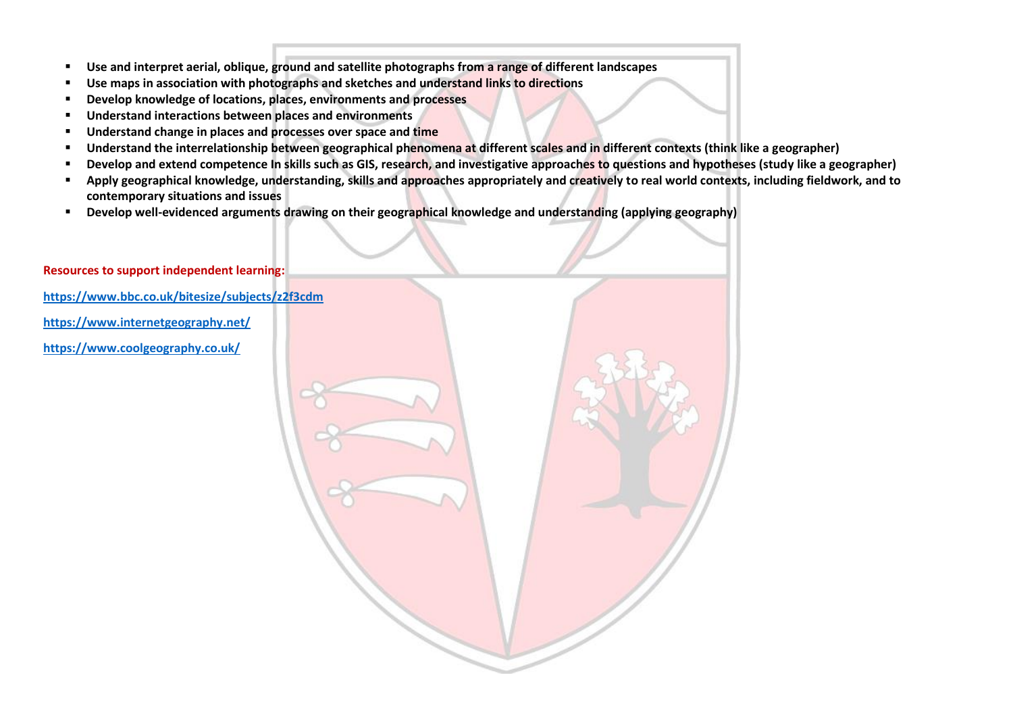- **Use and interpret aerial, oblique, ground and satellite photographs from a range of different landscapes**
- Use maps in association with photographs and sketches and understand links to directions
- **Develop knowledge of locations, places, environments and processes**
- **Understand interactions between places and environments**
- Understand change in places and processes over space and time
- **Understand the interrelationship between geographical phenomena at different scales and in different contexts (think like a geographer)**
- **Develop and extend competence In skills such as GIS, research, and investigative approaches to questions and hypotheses (study like a geographer)**
- Apply geographical knowledge, understanding, skills and approaches appropriately and creatively to real world contexts, including fieldwork, and to **contemporary situations and issues**
- **Develop well-evidenced arguments drawing on their geographical knowledge and understanding (applying geography)**

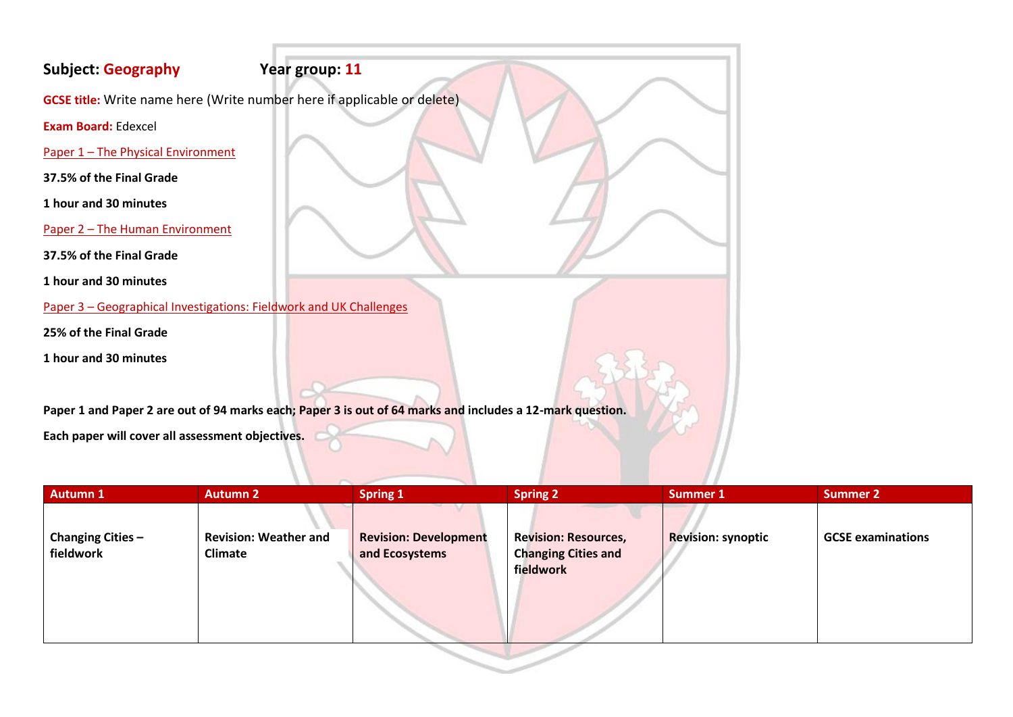# **Subject: Geography Year group: 11**

**GCSE title:** Write name here (Write number here if applicable or delete)

**Exam Board:** Edexcel

Paper 1 – The Physical Environment

**37.5% of the Final Grade**

**1 hour and 30 minutes** 

Paper 2 – The Human Environment

**37.5% of the Final Grade**

**1 hour and 30 minutes** 

Paper 3 – Geographical Investigations: Fieldwork and UK Challenges

**25% of the Final Grade**

**1 hour and 30 minutes** 

**Paper 1 and Paper 2 are out of 94 marks each; Paper 3 is out of 64 marks and includes a 12-mark question.**

**Each paper will cover all assessment objectives.**

| <b>Autumn 1</b>                       | <b>Autumn 2</b>                                | <b>Spring 1</b>                                | <b>Spring 2</b>                                                        | <b>Summer 1</b>           | <b>Summer 2</b>          |
|---------------------------------------|------------------------------------------------|------------------------------------------------|------------------------------------------------------------------------|---------------------------|--------------------------|
| <b>Changing Cities -</b><br>fieldwork | <b>Revision: Weather and</b><br><b>Climate</b> | <b>Revision: Development</b><br>and Ecosystems | <b>Revision: Resources,</b><br><b>Changing Cities and</b><br>fieldwork | <b>Revision: synoptic</b> | <b>GCSE examinations</b> |